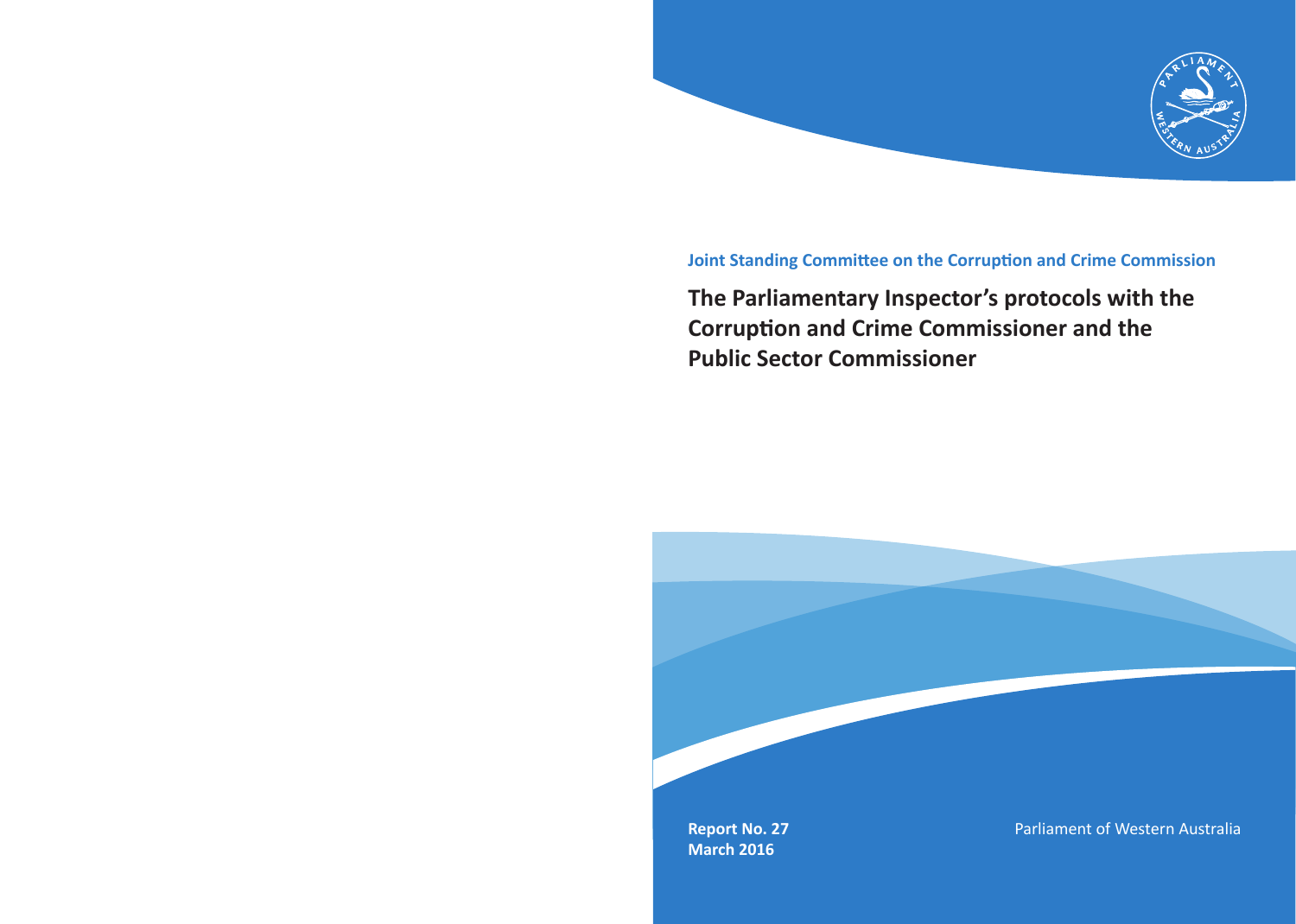

### **Joint Standing Committee on the Corruption and Crime Commission**

## **The Parliamentary Inspector's protocols with the Corruption and Crime Commissioner and the Public Sector Commissioner**

**Report No. 27 March 2016**

Parliament of Western Australia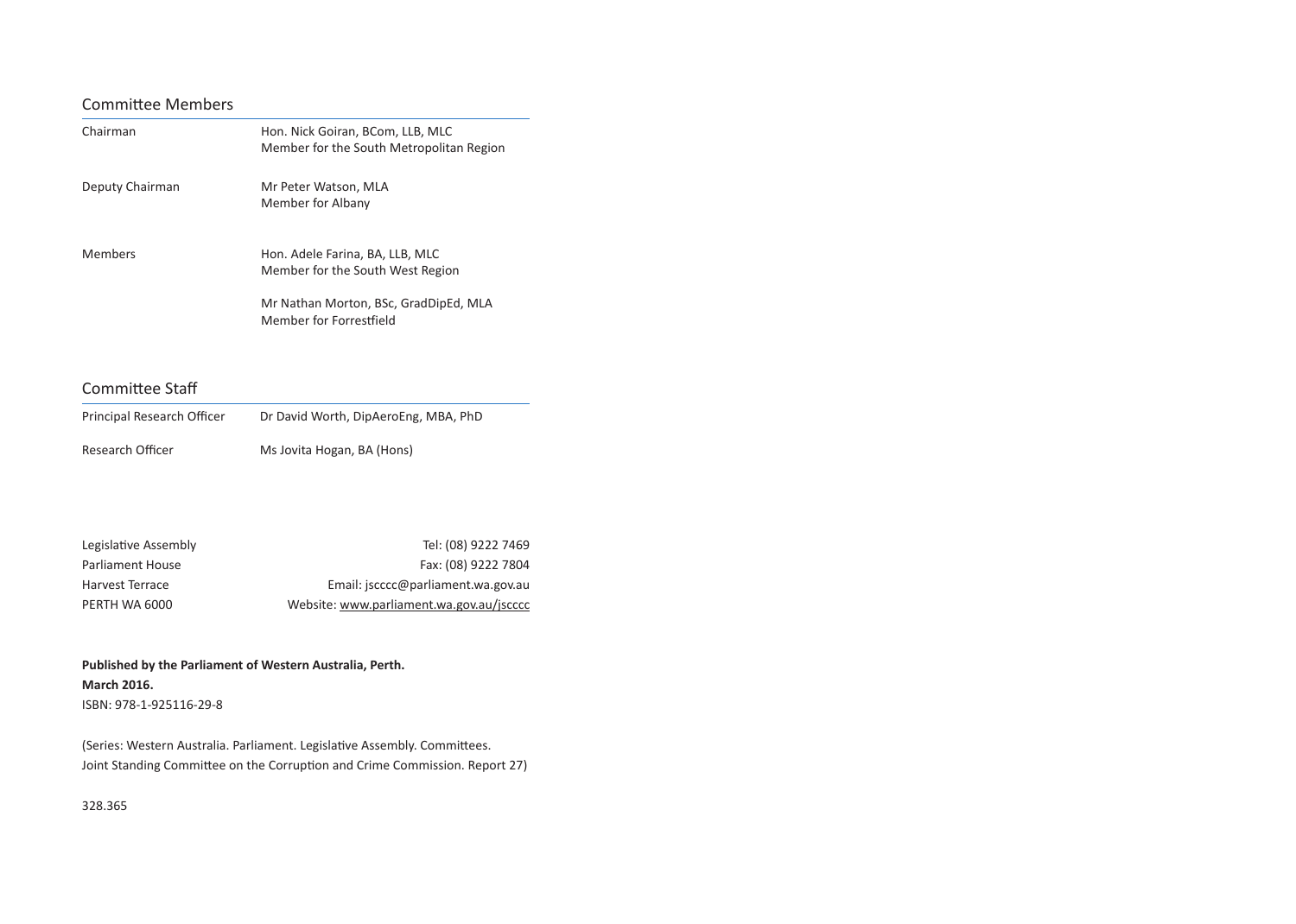#### Committee Members

| Chairman        | Hon. Nick Goiran, BCom, LLB, MLC<br>Member for the South Metropolitan Region |
|-----------------|------------------------------------------------------------------------------|
| Deputy Chairman | Mr Peter Watson, MLA<br>Member for Albany                                    |
| Members         | Hon. Adele Farina, BA, LLB, MLC<br>Member for the South West Region          |
|                 | Mr Nathan Morton, BSc, GradDipEd, MLA<br>Member for Forrestfield             |

#### Committee Staff

| Principal Research Officer | Dr David Worth, DipAeroEng, MBA, PhD |
|----------------------------|--------------------------------------|
| Research Officer           | Ms Jovita Hogan, BA (Hons)           |

| Legislative Assembly | Tel: (08) 9222 7469                      |
|----------------------|------------------------------------------|
| Parliament House     | Fax: (08) 9222 7804                      |
| Harvest Terrace      | Email: jscccc@parliament.wa.gov.au       |
| PERTH WA 6000        | Website: www.parliament.wa.gov.au/jscccc |

**Published by the Parliament of Western Australia, Perth. March 2016.** ISBN: 978-1-925116-29-8

(Series: Western Australia. Parliament. Legislative Assembly. Committees. Joint Standing Committee on the Corruption and Crime Commission. Report 27)

328.365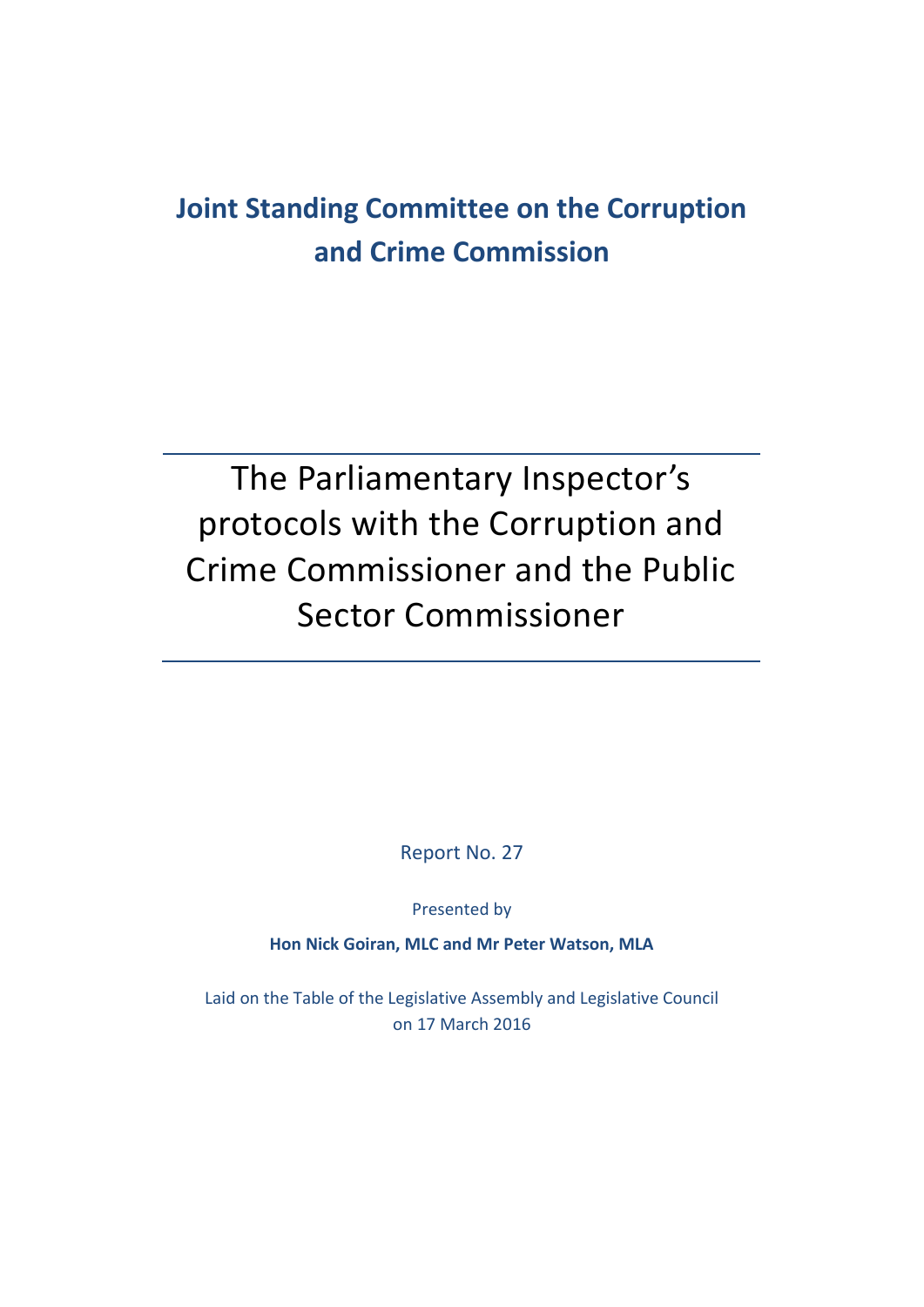# **Joint Standing Committee on the Corruption and Crime Commission**

# The Parliamentary Inspector's protocols with the Corruption and Crime Commissioner and the Public Sector Commissioner

Report No. 27

Presented by

**Hon Nick Goiran, MLC and Mr Peter Watson, MLA**

Laid on the Table of the Legislative Assembly and Legislative Council on 17 March 2016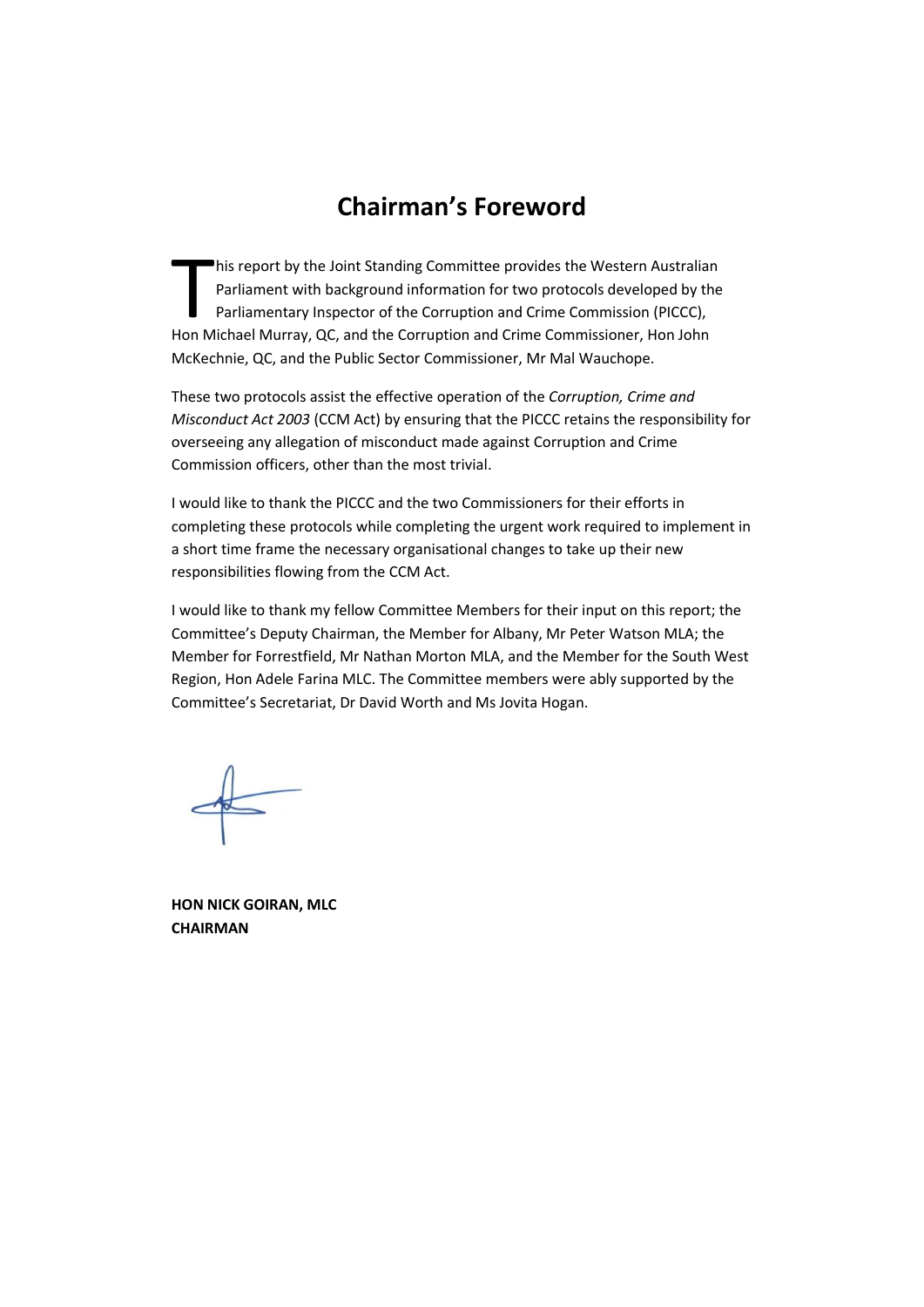### **Chairman's Foreword**

his report by the Joint Standing Committee provides the Western Australian Parliament with background information for two protocols developed by the Parliamentary Inspector of the Corruption and Crime Commission (PICCC), his report by the Joint Standing Committee provides the Western Australian<br>
Parliament with background information for two protocols developed by the<br>
Parliamentary Inspector of the Corruption and Crime Commissioner, Hon J McKechnie, QC, and the Public Sector Commissioner, Mr Mal Wauchope.

These two protocols assist the effective operation of the *Corruption, Crime and Misconduct Act 2003* (CCM Act) by ensuring that the PICCC retains the responsibility for overseeing any allegation of misconduct made against Corruption and Crime Commission officers, other than the most trivial.

I would like to thank the PICCC and the two Commissioners for their efforts in completing these protocols while completing the urgent work required to implement in a short time frame the necessary organisational changes to take up their new responsibilities flowing from the CCM Act.

I would like to thank my fellow Committee Members for their input on this report; the Committee's Deputy Chairman, the Member for Albany, Mr Peter Watson MLA; the Member for Forrestfield, Mr Nathan Morton MLA, and the Member for the South West Region, Hon Adele Farina MLC. The Committee members were ably supported by the Committee's Secretariat, Dr David Worth and Ms Jovita Hogan.

**HON NICK GOIRAN, MLC CHAIRMAN**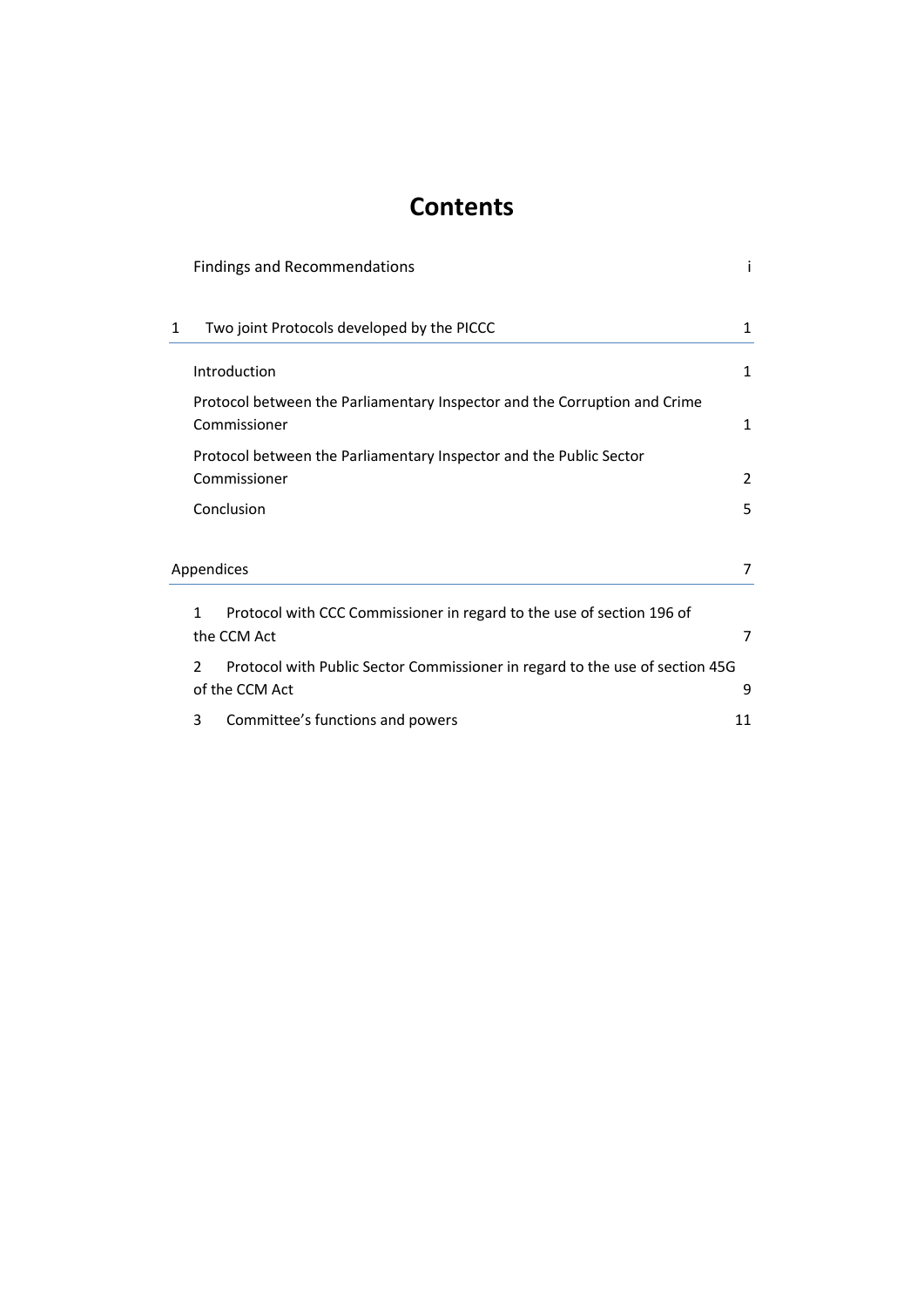### **Contents**

|             | <b>Findings and Recommendations</b> |                                                                                           |    |
|-------------|-------------------------------------|-------------------------------------------------------------------------------------------|----|
| 1           |                                     | Two joint Protocols developed by the PICCC                                                | 1  |
|             |                                     | Introduction                                                                              | 1  |
|             |                                     | Protocol between the Parliamentary Inspector and the Corruption and Crime<br>Commissioner | 1  |
|             |                                     | Protocol between the Parliamentary Inspector and the Public Sector                        |    |
|             |                                     | Commissioner                                                                              | 2  |
|             |                                     | Conclusion                                                                                | 5  |
|             |                                     |                                                                                           |    |
|             |                                     | Appendices                                                                                | 7  |
|             | 1                                   | Protocol with CCC Commissioner in regard to the use of section 196 of                     |    |
| the CCM Act |                                     |                                                                                           | 7  |
|             | 2                                   | Protocol with Public Sector Commissioner in regard to the use of section 45G              |    |
|             |                                     | of the CCM Act                                                                            | 9  |
|             | 3                                   | Committee's functions and powers                                                          | 11 |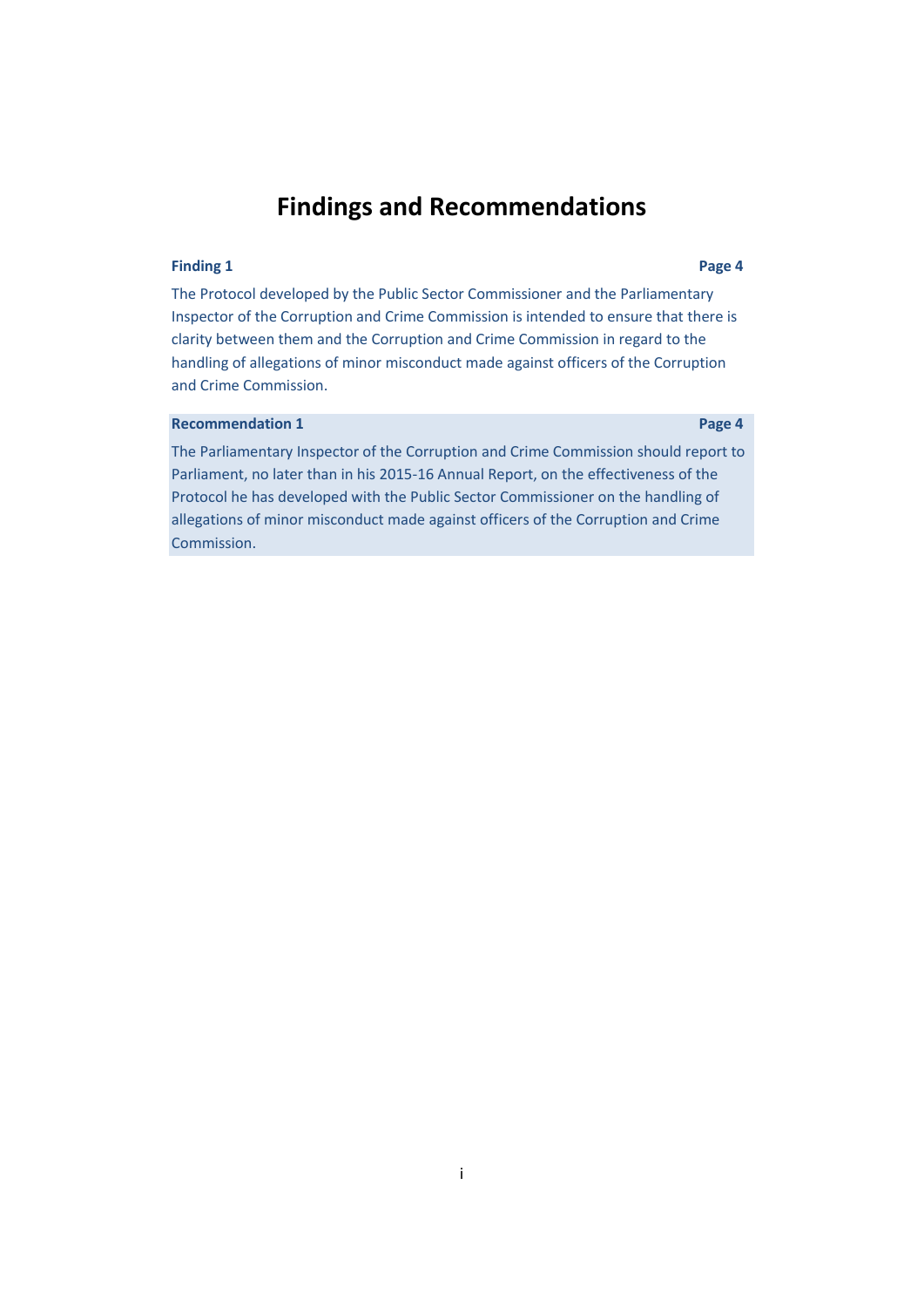### **Findings and Recommendations**

#### **Finding 1 Page [4](#page-13-0)**

The Protocol developed by the Public Sector Commissioner and the Parliamentary Inspector of the Corruption and Crime Commission is intended to ensure that there is clarity between them and the Corruption and Crime Commission in regard to the handling of allegations of minor misconduct made against officers of the Corruption and Crime Commission.

#### **Recommendation 1 Page [4](#page-13-1)**

The Parliamentary Inspector of the Corruption and Crime Commission should report to Parliament, no later than in his 2015-16 Annual Report, on the effectiveness of the Protocol he has developed with the Public Sector Commissioner on the handling of allegations of minor misconduct made against officers of the Corruption and Crime Commission.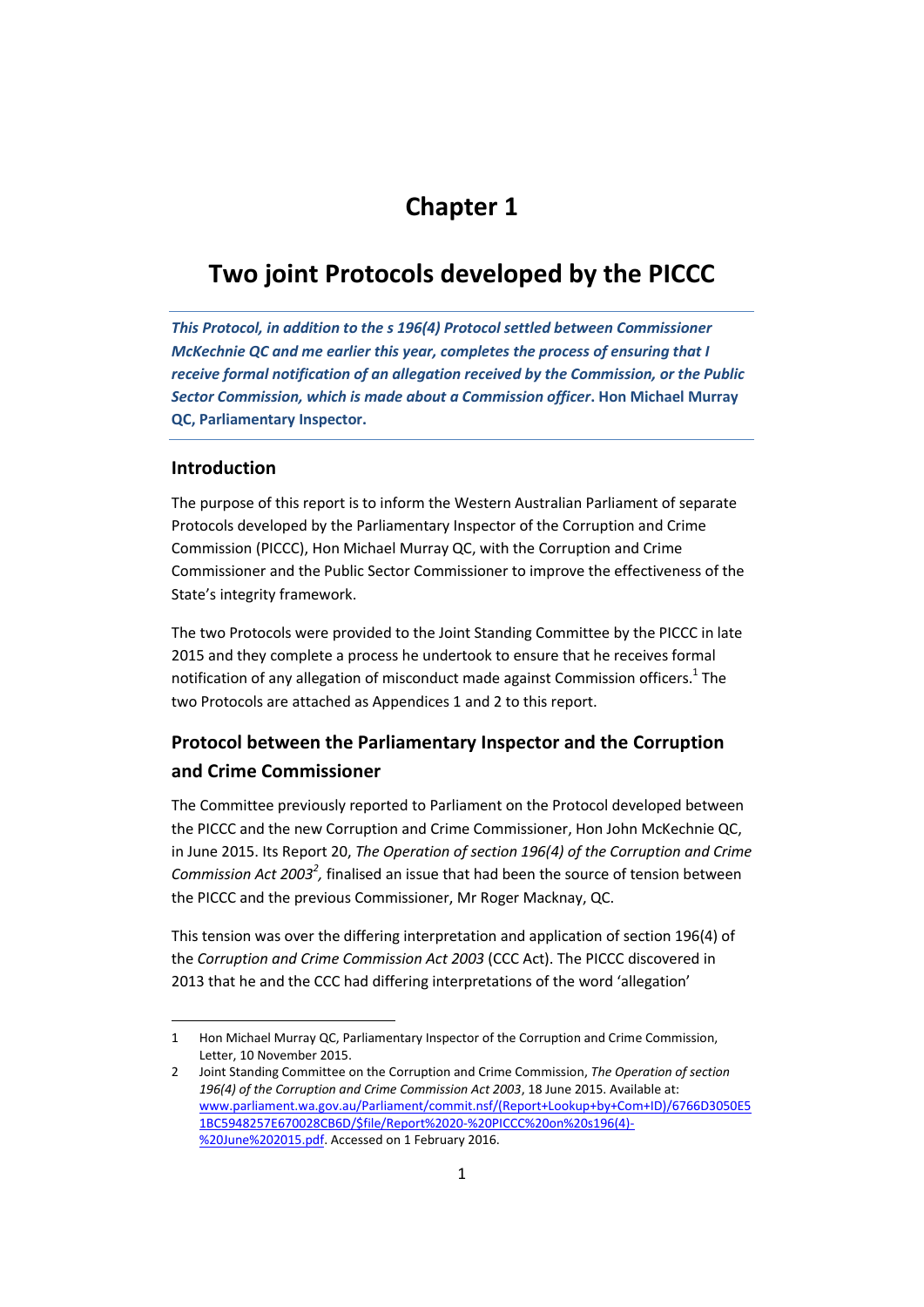### <span id="page-10-0"></span>**Chapter 1**

### **Two joint Protocols developed by the PICCC**

*This Protocol, in addition to the s 196(4) Protocol settled between Commissioner McKechnie QC and me earlier this year, completes the process of ensuring that I receive formal notification of an allegation received by the Commission, or the Public Sector Commission, which is made about a Commission officer***. Hon Michael Murray QC, Parliamentary Inspector.**

#### <span id="page-10-1"></span>**Introduction**

The purpose of this report is to inform the Western Australian Parliament of separate Protocols developed by the Parliamentary Inspector of the Corruption and Crime Commission (PICCC), Hon Michael Murray QC, with the Corruption and Crime Commissioner and the Public Sector Commissioner to improve the effectiveness of the State's integrity framework.

The two Protocols were provided to the Joint Standing Committee by the PICCC in late 2015 and they complete a process he undertook to ensure that he receives formal notification of any allegation of misconduct made against Commission officers.<sup>1</sup> The two Protocols are attached as Appendices 1 and 2 to this report.

### <span id="page-10-2"></span>**Protocol between the Parliamentary Inspector and the Corruption and Crime Commissioner**

The Committee previously reported to Parliament on the Protocol developed between the PICCC and the new Corruption and Crime Commissioner, Hon John McKechnie QC, in June 2015. Its Report 20, *The Operation of section 196(4) of the Corruption and Crime*  Commission Act 2003<sup>2</sup>, finalised an issue that had been the source of tension between the PICCC and the previous Commissioner, Mr Roger Macknay, QC.

This tension was over the differing interpretation and application of section 196(4) of the *Corruption and Crime Commission Act 2003* (CCC Act). The PICCC discovered in 2013 that he and the CCC had differing interpretations of the word 'allegation'

 $\overline{\phantom{a}}$ 1 Hon Michael Murray QC, Parliamentary Inspector of the Corruption and Crime Commission, Letter, 10 November 2015.

<sup>2</sup> Joint Standing Committee on the Corruption and Crime Commission, *The Operation of section 196(4) of the Corruption and Crime Commission Act 2003*, 18 June 2015. Available at: [www.parliament.wa.gov.au/Parliament/commit.nsf/\(Report+Lookup+by+Com+ID\)/6766D3050E5](http://www.parliament.wa.gov.au/Parliament/commit.nsf/(Report+Lookup+by+Com+ID)/6766D3050E51BC5948257E670028CB6D/$file/Report%2020-%20PICCC%20on%20s196(4)-%20June%202015.pdf) [1BC5948257E670028CB6D/\\$file/Report%2020-%20PICCC%20on%20s196\(4\)-](http://www.parliament.wa.gov.au/Parliament/commit.nsf/(Report+Lookup+by+Com+ID)/6766D3050E51BC5948257E670028CB6D/$file/Report%2020-%20PICCC%20on%20s196(4)-%20June%202015.pdf) [%20June%202015.pdf.](http://www.parliament.wa.gov.au/Parliament/commit.nsf/(Report+Lookup+by+Com+ID)/6766D3050E51BC5948257E670028CB6D/$file/Report%2020-%20PICCC%20on%20s196(4)-%20June%202015.pdf) Accessed on 1 February 2016.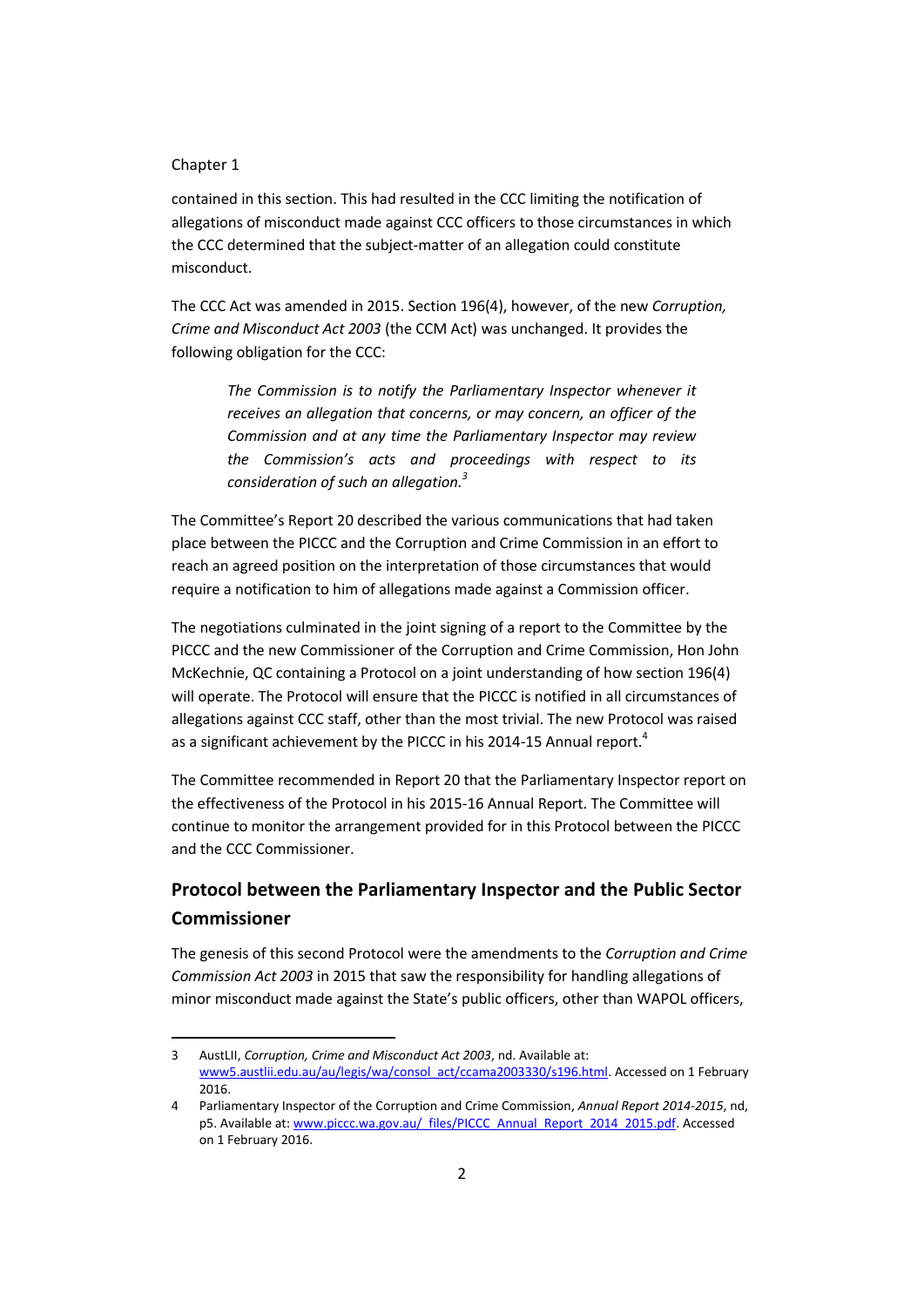#### Chapter 1

 $\overline{\phantom{a}}$ 

contained in this section. This had resulted in the CCC limiting the notification of allegations of misconduct made against CCC officers to those circumstances in which the CCC determined that the subject-matter of an allegation could constitute misconduct.

The CCC Act was amended in 2015. Section 196(4), however, of the new *Corruption, Crime and Misconduct Act 2003* (the CCM Act) was unchanged. It provides the following obligation for the CCC:

*The Commission is to notify the Parliamentary Inspector whenever it receives an allegation that concerns, or may concern, an officer of the Commission and at any time the Parliamentary Inspector may review the Commission's acts and proceedings with respect to its consideration of such an allegation.<sup>3</sup>*

The Committee's Report 20 described the various communications that had taken place between the PICCC and the Corruption and Crime Commission in an effort to reach an agreed position on the interpretation of those circumstances that would require a notification to him of allegations made against a Commission officer.

The negotiations culminated in the joint signing of a report to the Committee by the PICCC and the new Commissioner of the Corruption and Crime Commission, Hon John McKechnie, QC containing a Protocol on a joint understanding of how section 196(4) will operate. The Protocol will ensure that the PICCC is notified in all circumstances of allegations against CCC staff, other than the most trivial. The new Protocol was raised as a significant achievement by the PICCC in his 2014-15 Annual report.<sup>4</sup>

The Committee recommended in Report 20 that the Parliamentary Inspector report on the effectiveness of the Protocol in his 2015-16 Annual Report. The Committee will continue to monitor the arrangement provided for in this Protocol between the PICCC and the CCC Commissioner.

### <span id="page-11-0"></span>**Protocol between the Parliamentary Inspector and the Public Sector Commissioner**

The genesis of this second Protocol were the amendments to the *Corruption and Crime Commission Act 2003* in 2015 that saw the responsibility for handling allegations of minor misconduct made against the State's public officers, other than WAPOL officers,

<sup>3</sup> AustLII, *Corruption, Crime and Misconduct Act 2003*, nd. Available at: [www5.austlii.edu.au/au/legis/wa/consol\\_act/ccama2003330/s196.html.](http://www5.austlii.edu.au/au/legis/wa/consol_act/ccama2003330/s196.html) Accessed on 1 February 2016.

<sup>4</sup> Parliamentary Inspector of the Corruption and Crime Commission, *Annual Report 2014-2015*, nd, p5. Available at[: www.piccc.wa.gov.au/\\_files/PICCC\\_Annual\\_Report\\_2014\\_2015.pdf.](http://www.piccc.wa.gov.au/_files/PICCC_Annual_Report_2014_2015.pdf) Accessed on 1 February 2016.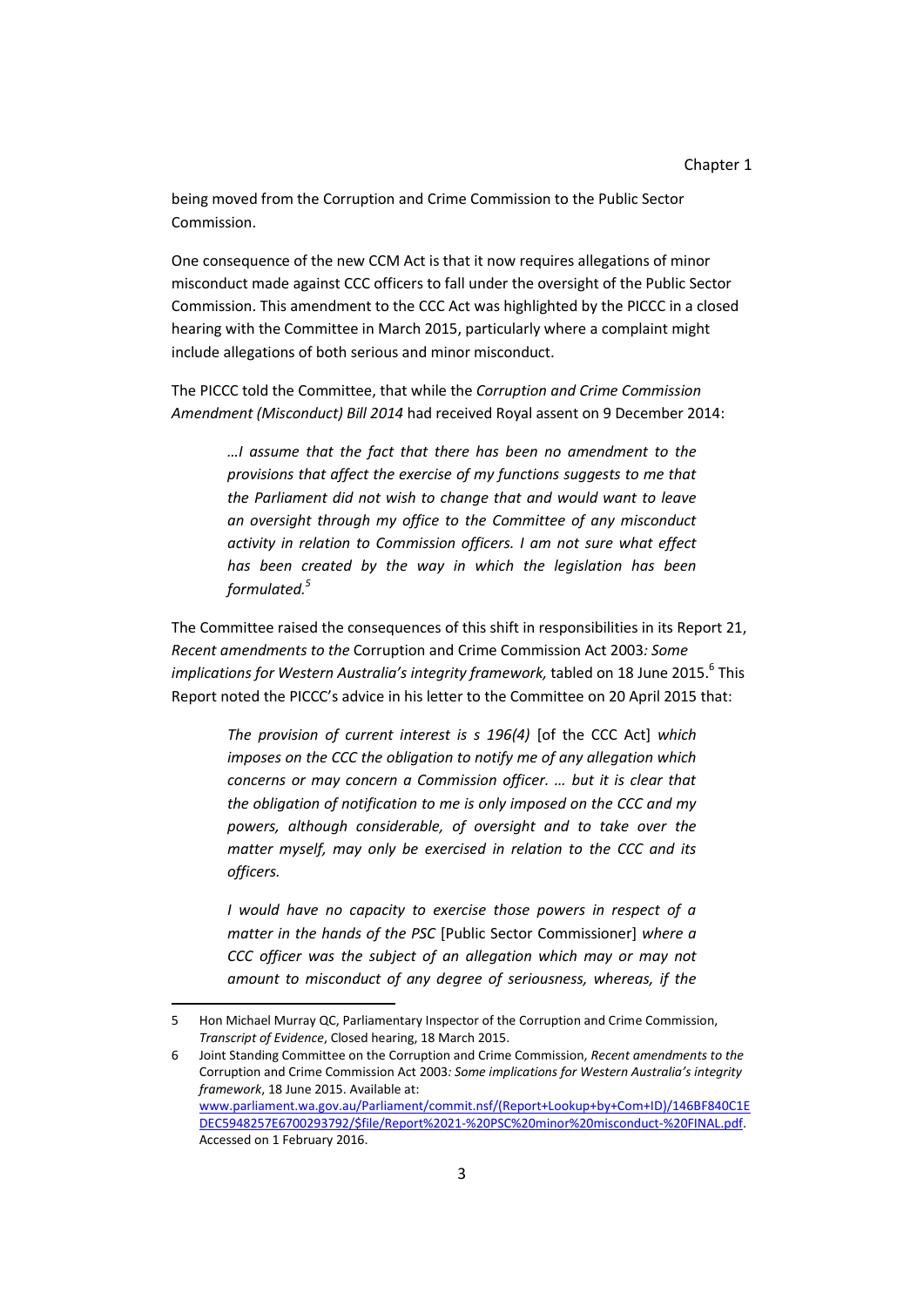being moved from the Corruption and Crime Commission to the Public Sector Commission.

One consequence of the new CCM Act is that it now requires allegations of minor misconduct made against CCC officers to fall under the oversight of the Public Sector Commission. This amendment to the CCC Act was highlighted by the PICCC in a closed hearing with the Committee in March 2015, particularly where a complaint might include allegations of both serious and minor misconduct.

The PICCC told the Committee, that while the *Corruption and Crime Commission Amendment (Misconduct) Bill 2014* had received Royal assent on 9 December 2014:

*…I assume that the fact that there has been no amendment to the provisions that affect the exercise of my functions suggests to me that the Parliament did not wish to change that and would want to leave an oversight through my office to the Committee of any misconduct activity in relation to Commission officers. I am not sure what effect has been created by the way in which the legislation has been formulated.<sup>5</sup>*

The Committee raised the consequences of this shift in responsibilities in its Report 21, *Recent amendments to the* Corruption and Crime Commission Act 2003*: Some implications for Western Australia's integrity framework,* tabled on 18 June 2015. 6 This Report noted the PICCC's advice in his letter to the Committee on 20 April 2015 that:

*The provision of current interest is s 196(4)* [of the CCC Act] *which imposes on the CCC the obligation to notify me of any allegation which concerns or may concern a Commission officer. … but it is clear that the obligation of notification to me is only imposed on the CCC and my powers, although considerable, of oversight and to take over the matter myself, may only be exercised in relation to the CCC and its officers.*

*I would have no capacity to exercise those powers in respect of a matter in the hands of the PSC* [Public Sector Commissioner] *where a CCC officer was the subject of an allegation which may or may not amount to misconduct of any degree of seriousness, whereas, if the* 

 $\overline{a}$ 

<sup>5</sup> Hon Michael Murray QC, Parliamentary Inspector of the Corruption and Crime Commission, *Transcript of Evidence*, Closed hearing, 18 March 2015.

<sup>6</sup> Joint Standing Committee on the Corruption and Crime Commission, *Recent amendments to the*  Corruption and Crime Commission Act 2003*: Some implications for Western Australia's integrity framework*, 18 June 2015. Available at: [www.parliament.wa.gov.au/Parliament/commit.nsf/\(Report+Lookup+by+Com+ID\)/146BF840C1E](http://www.parliament.wa.gov.au/Parliament/commit.nsf/(Report+Lookup+by+Com+ID)/146BF840C1EDEC5948257E6700293792/$file/Report%2021-%20PSC%20minor%20misconduct-%20FINAL.pdf) [DEC5948257E6700293792/\\$file/Report%2021-%20PSC%20minor%20misconduct-%20FINAL.pdf.](http://www.parliament.wa.gov.au/Parliament/commit.nsf/(Report+Lookup+by+Com+ID)/146BF840C1EDEC5948257E6700293792/$file/Report%2021-%20PSC%20minor%20misconduct-%20FINAL.pdf) Accessed on 1 February 2016.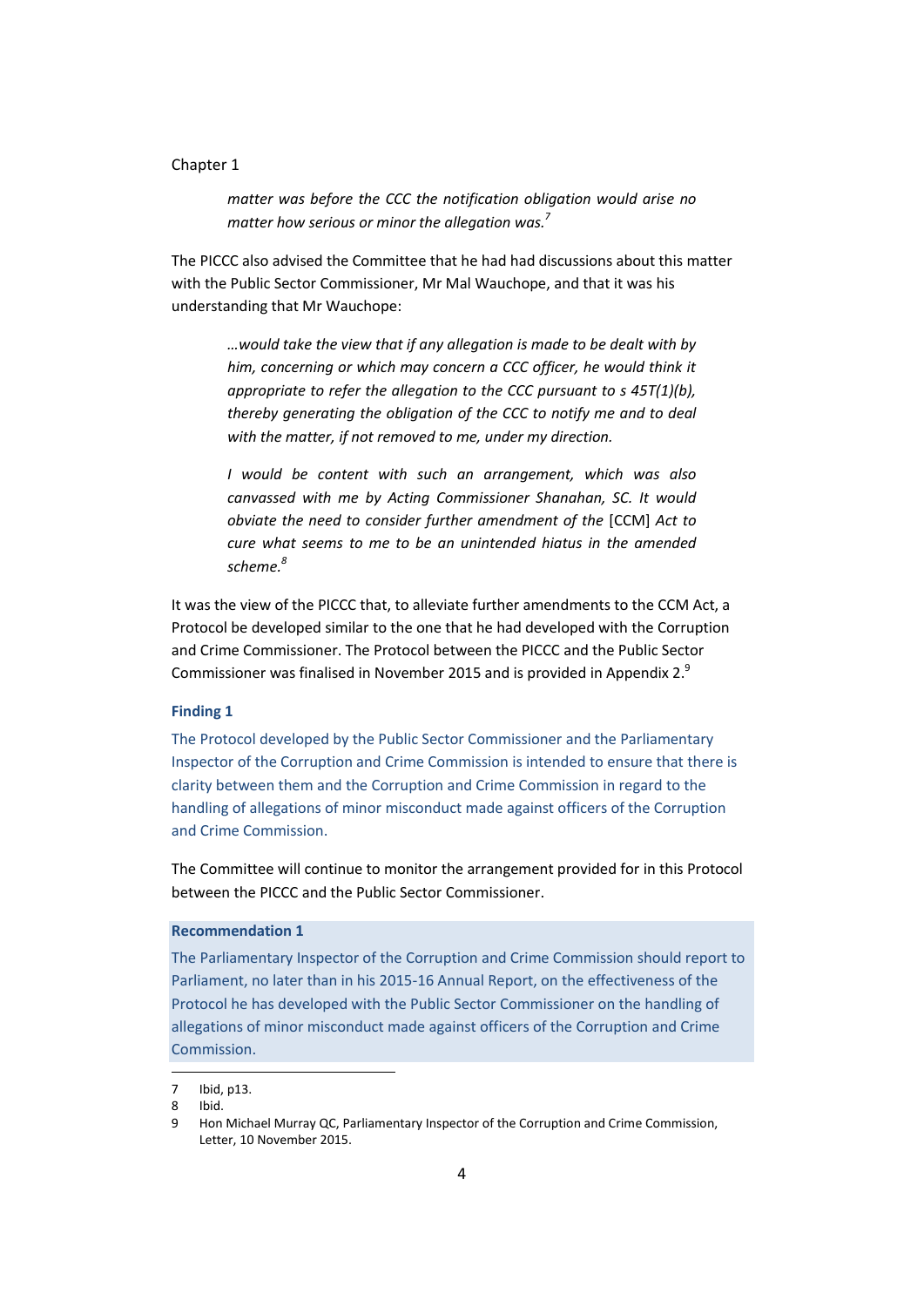#### Chapter 1

*matter was before the CCC the notification obligation would arise no matter how serious or minor the allegation was.<sup>7</sup>*

The PICCC also advised the Committee that he had had discussions about this matter with the Public Sector Commissioner, Mr Mal Wauchope, and that it was his understanding that Mr Wauchope:

*…would take the view that if any allegation is made to be dealt with by him, concerning or which may concern a CCC officer, he would think it appropriate to refer the allegation to the CCC pursuant to s 45T(1)(b), thereby generating the obligation of the CCC to notify me and to deal with the matter, if not removed to me, under my direction.*

*I would be content with such an arrangement, which was also canvassed with me by Acting Commissioner Shanahan, SC. It would obviate the need to consider further amendment of the* [CCM] *Act to cure what seems to me to be an unintended hiatus in the amended scheme. 8*

It was the view of the PICCC that, to alleviate further amendments to the CCM Act, a Protocol be developed similar to the one that he had developed with the Corruption and Crime Commissioner. The Protocol between the PICCC and the Public Sector Commissioner was finalised in November 2015 and is provided in Appendix 2.<sup>9</sup>

#### <span id="page-13-0"></span>**Finding 1**

The Protocol developed by the Public Sector Commissioner and the Parliamentary Inspector of the Corruption and Crime Commission is intended to ensure that there is clarity between them and the Corruption and Crime Commission in regard to the handling of allegations of minor misconduct made against officers of the Corruption and Crime Commission.

The Committee will continue to monitor the arrangement provided for in this Protocol between the PICCC and the Public Sector Commissioner.

#### <span id="page-13-1"></span>**Recommendation 1**

The Parliamentary Inspector of the Corruption and Crime Commission should report to Parliament, no later than in his 2015-16 Annual Report, on the effectiveness of the Protocol he has developed with the Public Sector Commissioner on the handling of allegations of minor misconduct made against officers of the Corruption and Crime Commission.

l

<sup>7</sup> Ibid, p13.

<sup>8</sup> Ibid.

<sup>9</sup> Hon Michael Murray QC, Parliamentary Inspector of the Corruption and Crime Commission, Letter, 10 November 2015.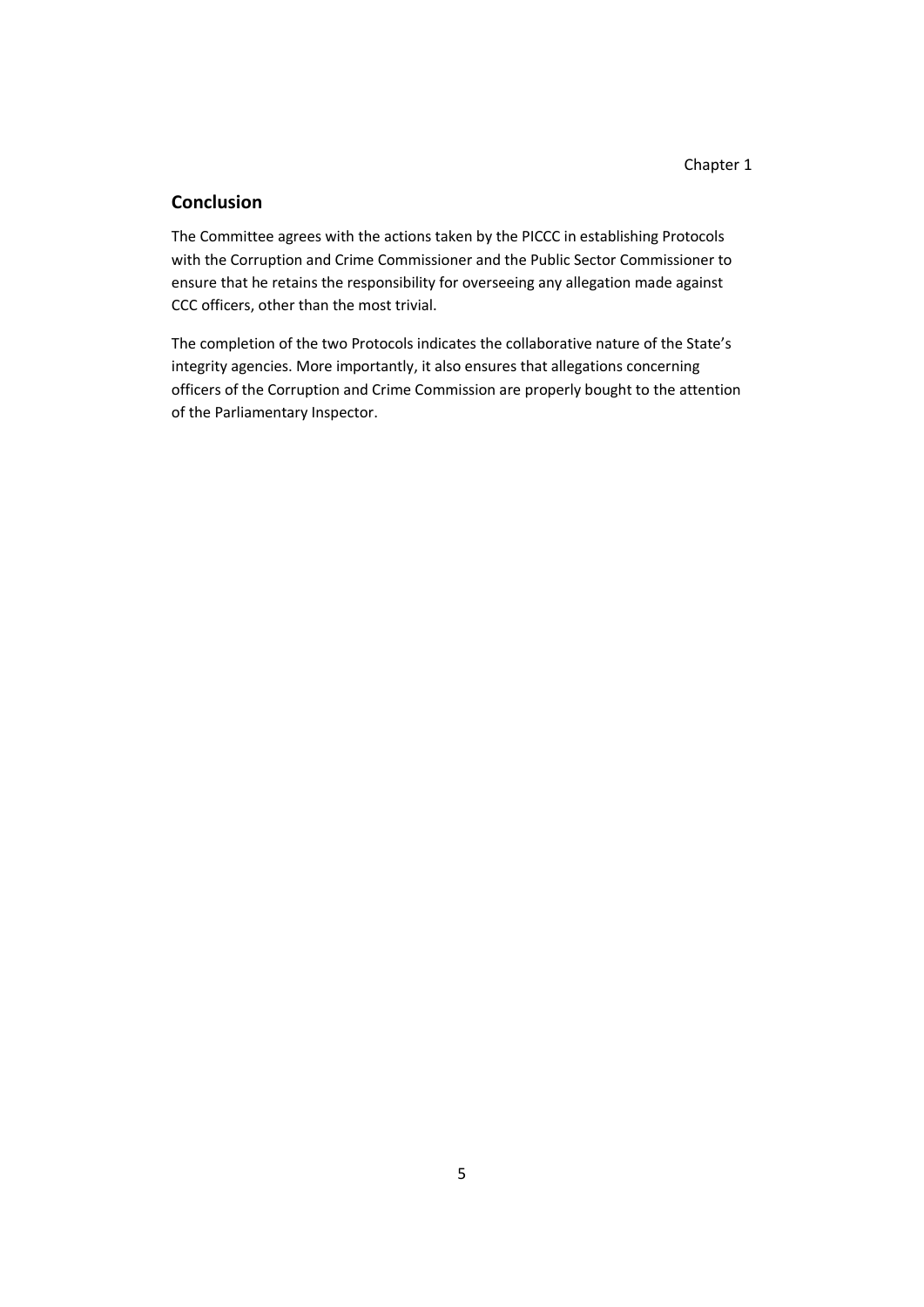#### <span id="page-14-0"></span>**Conclusion**

The Committee agrees with the actions taken by the PICCC in establishing Protocols with the Corruption and Crime Commissioner and the Public Sector Commissioner to ensure that he retains the responsibility for overseeing any allegation made against CCC officers, other than the most trivial.

The completion of the two Protocols indicates the collaborative nature of the State's integrity agencies. More importantly, it also ensures that allegations concerning officers of the Corruption and Crime Commission are properly bought to the attention of the Parliamentary Inspector.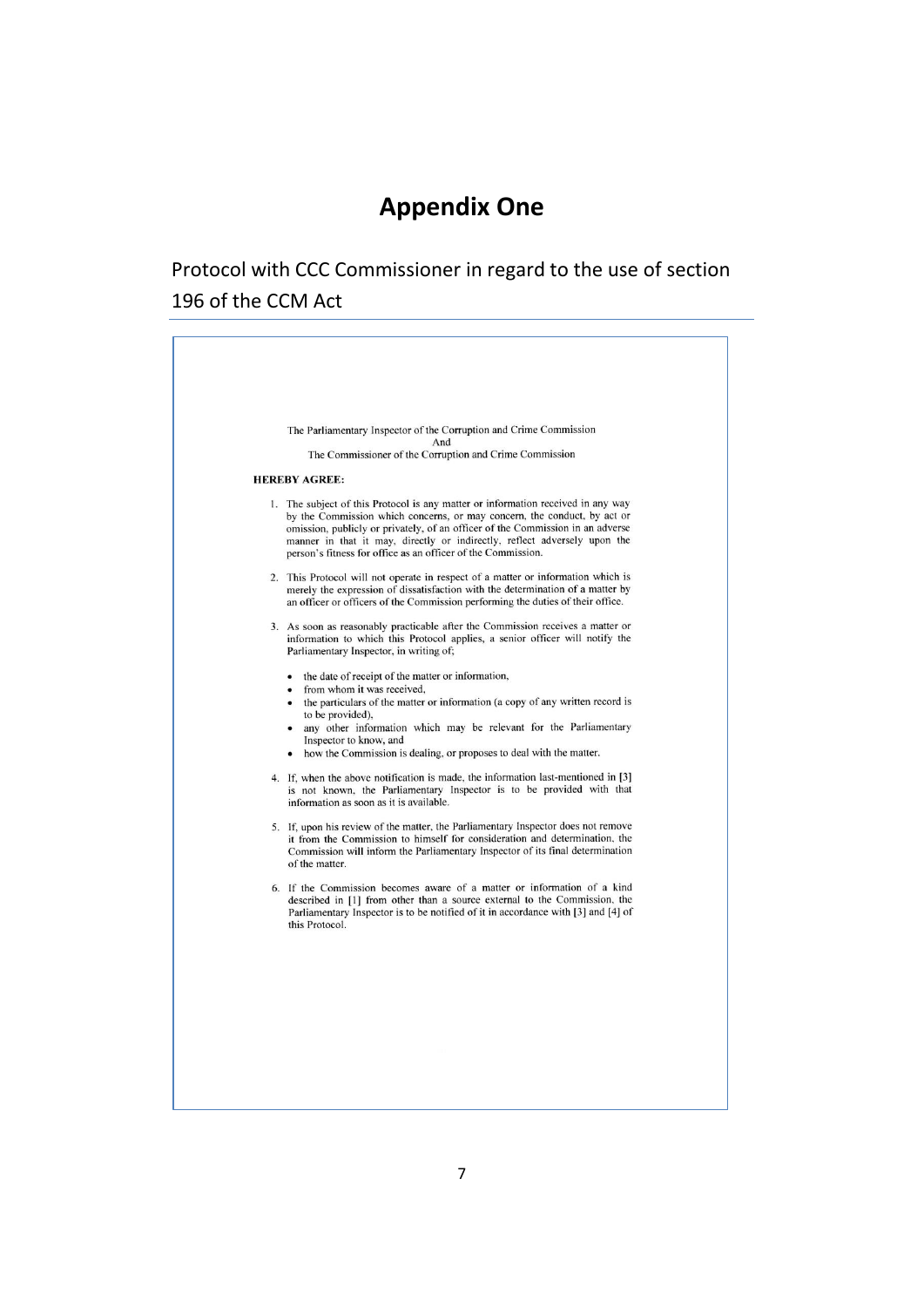### <span id="page-16-1"></span><span id="page-16-0"></span>**Appendix One**

### Protocol with CCC Commissioner in regard to the use of section 196 of the CCM Act

| The Parliamentary Inspector of the Corruption and Crime Commission<br>And                                                                                                                                                                                                                                                                                                                           |
|-----------------------------------------------------------------------------------------------------------------------------------------------------------------------------------------------------------------------------------------------------------------------------------------------------------------------------------------------------------------------------------------------------|
| The Commissioner of the Corruption and Crime Commission                                                                                                                                                                                                                                                                                                                                             |
| <b>HEREBY AGREE:</b>                                                                                                                                                                                                                                                                                                                                                                                |
| 1. The subject of this Protocol is any matter or information received in any way<br>by the Commission which concerns, or may concern, the conduct, by act or<br>omission, publicly or privately, of an officer of the Commission in an adverse<br>manner in that it may, directly or indirectly, reflect adversely upon the<br>person's fitness for office as an officer of the Commission.         |
| 2. This Protocol will not operate in respect of a matter or information which is<br>merely the expression of dissatisfaction with the determination of a matter by<br>an officer or officers of the Commission performing the duties of their office.                                                                                                                                               |
| 3. As soon as reasonably practicable after the Commission receives a matter or<br>information to which this Protocol applies, a senior officer will notify the<br>Parliamentary Inspector, in writing of;                                                                                                                                                                                           |
| • the date of receipt of the matter or information,<br>from whom it was received.<br>$\bullet$<br>the particulars of the matter or information (a copy of any written record is<br>$\bullet$<br>to be provided),<br>any other information which may be relevant for the Parliamentary<br>$\bullet$<br>Inspector to know, and<br>how the Commission is dealing, or proposes to deal with the matter. |
| 4. If, when the above notification is made, the information last-mentioned in [3]<br>is not known, the Parliamentary Inspector is to be provided with that<br>information as soon as it is available.                                                                                                                                                                                               |
| 5. If, upon his review of the matter, the Parliamentary Inspector does not remove<br>it from the Commission to himself for consideration and determination, the<br>Commission will inform the Parliamentary Inspector of its final determination<br>of the matter.                                                                                                                                  |
| 6. If the Commission becomes aware of a matter or information of a kind<br>described in [1] from other than a source external to the Commission, the<br>Parliamentary Inspector is to be notified of it in accordance with [3] and [4] of<br>this Protocol.                                                                                                                                         |
|                                                                                                                                                                                                                                                                                                                                                                                                     |
|                                                                                                                                                                                                                                                                                                                                                                                                     |
|                                                                                                                                                                                                                                                                                                                                                                                                     |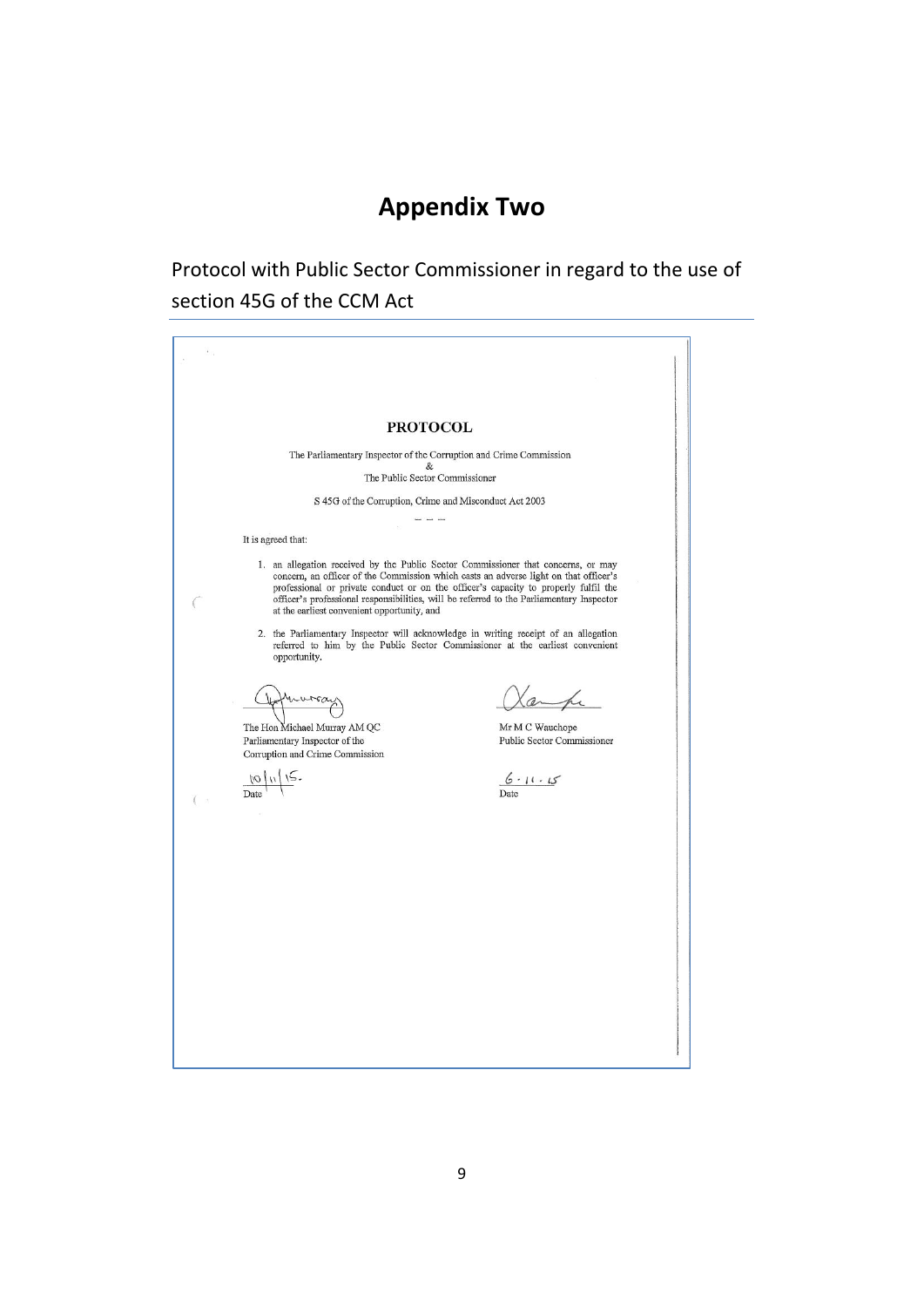### <span id="page-18-0"></span>**Appendix Two**

Protocol with Public Sector Commissioner in regard to the use of section 45G of the CCM Act